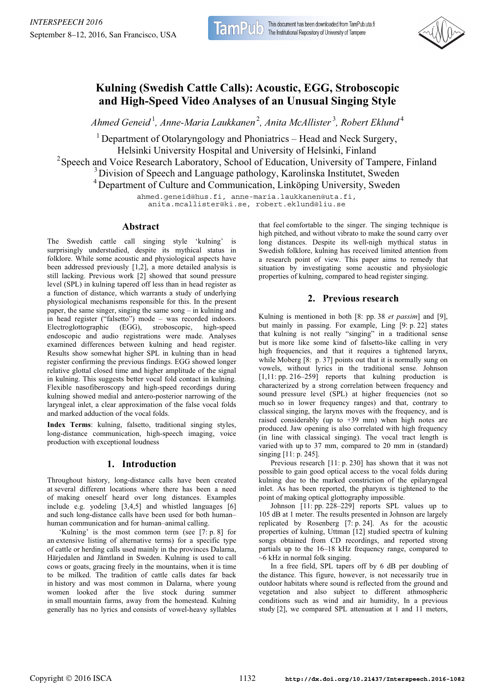# **Kulning (Swedish Cattle Calls): Acoustic, EGG, Stroboscopic and High-Speed Video Analyses of an Unusual Singing Style**

*Ahmed Geneid* <sup>1</sup> *, Anne-Maria Laukkanen*<sup>2</sup> *, Anita McAllister* <sup>3</sup> *, Robert Eklund* <sup>4</sup>

<sup>1</sup> Department of Otolaryngology and Phoniatrics – Head and Neck Surgery, Helsinki University Hospital and University of Helsinki, Finland <sup>2</sup> Speech and Voice Research Laboratory, School of Education, University of Tampere, Finland <sup>3</sup> Division of Speech and Language pathology, Karolinska Institutet, Sweden <sup>4</sup> Department of Culture and Communication, Linköping University, Sweden

ahmed.geneid@hus.fi, anne-maria.laukkanen@uta.fi, anita.mcallister@ki.se, robert.eklund@liu.se

# **Abstract**

The Swedish cattle call singing style 'kulning' is surprisingly understudied, despite its mythical status in folklore. While some acoustic and physiological aspects have been addressed previously [1,2], a more detailed analysis is still lacking. Previous work [2] showed that sound pressure level (SPL) in kulning tapered off less than in head register as a function of distance, which warrants a study of underlying physiological mechanisms responsible for this. In the present paper, the same singer, singing the same song – in kulning and in head register ("falsetto") mode – was recorded indoors. Electroglottographic (EGG), stroboscopic, high-speed endoscopic and audio registrations were made. Analyses examined differences between kulning and head register. Results show somewhat higher SPL in kulning than in head register confirming the previous findings. EGG showed longer relative glottal closed time and higher amplitude of the signal in kulning. This suggests better vocal fold contact in kulning. Flexible nasofiberoscopy and high-speed recordings during kulning showed medial and antero-posterior narrowing of the laryngeal inlet, a clear approximation of the false vocal folds and marked adduction of the vocal folds.

**Index Terms**: kulning, falsetto, traditional singing styles, long-distance communication, high-speech imaging, voice production with exceptional loudness

# **1. Introduction**

Throughout history, long-distance calls have been created at several different locations where there has been a need of making oneself heard over long distances. Examples include e.g. yodeling [3,4,5] and whistled languages [6] and such long-distance calls have been used for both human– human communication and for human–animal calling.

'Kulning' is the most common term (see [7: p. 8] for an extensive listing of alternative terms) for a specific type of cattle or herding calls used mainly in the provinces Dalarna, Härjedalen and Jämtland in Sweden. Kulning is used to call cows or goats, gracing freely in the mountains, when it is time to be milked. The tradition of cattle calls dates far back in history and was most common in Dalarna, where young women looked after the live stock during summer in small mountain farms, away from the homestead. Kulning generally has no lyrics and consists of vowel-heavy syllables that feel comfortable to the singer. The singing technique is high pitched, and without vibrato to make the sound carry over long distances. Despite its well-nigh mythical status in Swedish folklore, kulning has received limited attention from a research point of view. This paper aims to remedy that situation by investigating some acoustic and physiologic properties of kulning, compared to head register singing.

# **2. Previous research**

Kulning is mentioned in both [8: pp. 38 *et passim*] and [9], but mainly in passing. For example, Ling [9: p. 22] states that kulning is not really "singing" in a traditional sense but is more like some kind of falsetto-like calling in very high frequencies, and that it requires a tightened larynx, while Moberg [8: p. 37] points out that it is normally sung on vowels, without lyrics in the traditional sense. Johnson [1,11: pp. 216–259] reports that kulning production is characterized by a strong correlation between frequency and sound pressure level (SPL) at higher frequencies (not so much so in lower frequency ranges) and that, contrary to classical singing, the larynx moves with the frequency, and is raised considerably (up to  $+39$  mm) when high notes are produced. Jaw opening is also correlated with high frequency (in line with classical singing). The vocal tract length is varied with up to 37 mm, compared to 20 mm in (standard) singing [11: p. 245].

Previous research [11: p. 230] has shown that it was not possible to gain good optical access to the vocal folds during kulning due to the marked constriction of the epilaryngeal inlet. As has been reported, the pharynx is tightened to the point of making optical glottography impossible.

Johnson [11: pp. 228–229] reports SPL values up to 105 dB at 1 meter. The results presented in Johnson are largely replicated by Rosenberg [7: p. 24]. As for the acoustic properties of kulning, Uttman [12] studied spectra of kulning songs obtained from CD recordings, and reported strong partials up to the 16–18 kHz frequency range, compared to  $~6$  kHz in normal folk singing.

In a free field, SPL tapers off by 6 dB per doubling of the distance. This figure, however, is not necessarily true in outdoor habitats where sound is reflected from the ground and vegetation and also subject to different athmospheric conditions such as wind and air humidity, In a previous study [2], we compared SPL attenuation at 1 and 11 meters,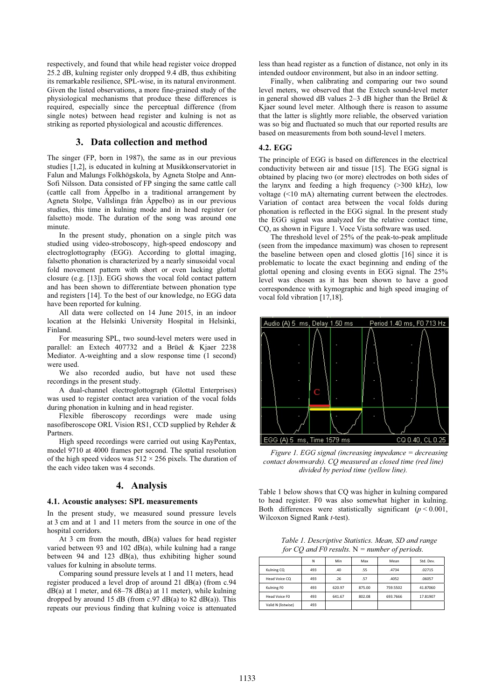respectively, and found that while head register voice dropped 25.2 dB, kulning register only dropped 9.4 dB, thus exhibiting its remarkable resilience, SPL-wise, in its natural environment. Given the listed observations, a more fine-grained study of the physiological mechanisms that produce these differences is required, especially since the perceptual difference (from single notes) between head register and kulning is not as striking as reported physiological and acoustic differences.

### **3. Data collection and method**

The singer (FP, born in 1987), the same as in our previous studies [1,2], is educated in kulning at Musikkonservatoriet in Falun and Malungs Folkhögskola, by Agneta Stolpe and Ann-Sofi Nilsson. Data consisted of FP singing the same cattle call (cattle call from Äppelbo in a traditional arrangement by Agneta Stolpe, Vallslinga från Äppelbo) as in our previous studies, this time in kulning mode and in head register (or falsetto) mode. The duration of the song was around one minute.

In the present study, phonation on a single pitch was studied using video-stroboscopy, high-speed endoscopy and electroglottography (EGG). According to glottal imaging, falsetto phonation is characterized by a nearly sinusoidal vocal fold movement pattern with short or even lacking glottal closure (e.g. [13]). EGG shows the vocal fold contact pattern and has been shown to differentiate between phonation type and registers [14]. To the best of our knowledge, no EGG data have been reported for kulning.

All data were collected on 14 June 2015, in an indoor location at the Helsinki University Hospital in Helsinki, Finland.

For measuring SPL, two sound-level meters were used in parallel: an Extech 407732 and a Brüel & Kjaer 2238 Mediator. A-weighting and a slow response time (1 second) were used.

We also recorded audio, but have not used these recordings in the present study.

A dual-channel electroglottograph (Glottal Enterprises) was used to register contact area variation of the vocal folds during phonation in kulning and in head register.

Flexible fiberoscopy recordings were made using nasofiberoscope ORL Vision RS1, CCD supplied by Rehder & Partners.

High speed recordings were carried out using KayPentax, model 9710 at 4000 frames per second. The spatial resolution of the high speed videos was  $512 \times 256$  pixels. The duration of the each video taken was 4 seconds.

# **4. Analysis**

#### **4.1. Acoustic analyses: SPL measurements**

In the present study, we measured sound pressure levels at 3 cm and at 1 and 11 meters from the source in one of the hospital corridors.

At 3 cm from the mouth, dB(a) values for head register varied between 93 and 102 dB(a), while kulning had a range between 94 and 123 dB(a), thus exhibiting higher sound values for kulning in absolute terms.

Comparing sound pressure levels at 1 and 11 meters, head register produced a level drop of around 21 dB(a) (from c.94  $dB(a)$  at 1 meter, and 68–78 dB(a) at 11 meter), while kulning dropped by around 15 dB (from c.97 dB(a) to 82 dB(a)). This repeats our previous finding that kulning voice is attenuated less than head register as a function of distance, not only in its intended outdoor environment, but also in an indoor setting.

Finally, when calibrating and comparing our two sound level meters, we observed that the Extech sound-level meter in general showed dB values 2–3 dB higher than the Brüel  $\&$ Kjaer sound level meter. Although there is reason to assume that the latter is slightly more reliable, the observed variation was so big and fluctuated so much that our reported results are based on measurements from both sound-level l meters.

#### **4.2. EGG**

The principle of EGG is based on differences in the electrical conductivity between air and tissue [15]. The EGG signal is obtained by placing two (or more) electrodes on both sides of the larynx and feeding a high frequency (>300 kHz), low voltage (<10 mA) alternating current between the electrodes. Variation of contact area between the vocal folds during phonation is reflected in the EGG signal. In the present study the EGG signal was analyzed for the relative contact time, CQ, as shown in Figure 1. Voce Vista software was used.

The threshold level of 25% of the peak-to-peak amplitude (seen from the impedance maximum) was chosen to represent the baseline between open and closed glottis [16] since it is problematic to locate the exact beginning and ending of the glottal opening and closing events in EGG signal. The 25% level was chosen as it has been shown to have a good correspondence with kymographic and high speed imaging of vocal fold vibration [17,18].



*Figure 1. EGG signal (increasing impedance = decreasing contact downwards). CQ measured as closed time (red line) divided by period time (yellow line).* 

Table 1 below shows that CQ was higher in kulning compared to head register. F0 was also somewhat higher in kulning. Both differences were statistically significant  $(p < 0.001)$ , Wilcoxon Signed Rank *t*-test).

*Table 1. Descriptive Statistics. Mean, SD and range for CQ and F0 results.* N *= number of periods.*

|                    | N   | Min    | Max    | Mean     | Std. Dev. |
|--------------------|-----|--------|--------|----------|-----------|
| Kulning CQ         | 493 | .40    | .55    | .4734    | .02715    |
| Head Voice CQ      | 493 | .26    | .57    | .4052    | .06057    |
| Kulning FO         | 493 | 620.97 | 875.00 | 759.5502 | 41.87060  |
| Head Voice FO      | 493 | 641.67 | 802.08 | 693.7666 | 17.81907  |
| Valid N (listwise) | 493 |        |        |          |           |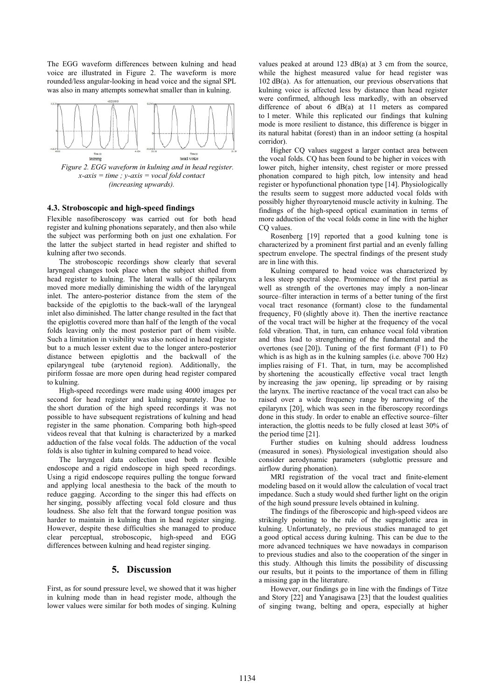The EGG waveform differences between kulning and head voice are illustrated in Figure 2. The waveform is more rounded/less angular-looking in head voice and the signal SPL was also in many attempts somewhat smaller than in kulning.



#### *(increasing upwards).*

#### **4.3. Stroboscopic and high-speed findings**

Flexible nasofiberoscopy was carried out for both head register and kulning phonations separately, and then also while the subject was performing both on just one exhalation. For the latter the subject started in head register and shifted to kulning after two seconds.

The stroboscopic recordings show clearly that several laryngeal changes took place when the subject shifted from head register to kulning. The lateral walls of the epilarynx moved more medially diminishing the width of the laryngeal inlet. The antero-posterior distance from the stem of the backside of the epiglottis to the back-wall of the laryngeal inlet also diminished. The latter change resulted in the fact that the epiglottis covered more than half of the length of the vocal folds leaving only the most posterior part of them visible. Such a limitation in visibility was also noticed in head register but to a much lesser extent due to the longer antero-posterior distance between epiglottis and the backwall of the epilaryngeal tube (arytenoid region). Additionally, the piriform fossae are more open during head register compared to kulning.

High-speed recordings were made using 4000 images per second for head register and kulning separately. Due to the short duration of the high speed recordings it was not possible to have subsequent registrations of kulning and head register in the same phonation. Comparing both high-speed videos reveal that that kulning is characterized by a marked adduction of the false vocal folds. The adduction of the vocal folds is also tighter in kulning compared to head voice.

The laryngeal data collection used both a flexible endoscope and a rigid endoscope in high speed recordings. Using a rigid endoscope requires pulling the tongue forward and applying local anesthesia to the back of the mouth to reduce gagging. According to the singer this had effects on her singing, possibly affecting vocal fold closure and thus loudness. She also felt that the forward tongue position was harder to maintain in kulning than in head register singing. However, despite these difficulties she managed to produce clear perceptual, stroboscopic, high-speed and EGG differences between kulning and head register singing.

# **5. Discussion**

First, as for sound pressure level, we showed that it was higher in kulning mode than in head register mode, although the lower values were similar for both modes of singing. Kulning values peaked at around 123 dB(a) at 3 cm from the source, while the highest measured value for head register was 102 dB(a). As for attenuation, our previous observations that kulning voice is affected less by distance than head register were confirmed, although less markedly, with an observed difference of about 6 dB(a) at 11 meters as compared to 1 meter. While this replicated our findings that kulning mode is more resilient to distance, this difference is bigger in its natural habitat (forest) than in an indoor setting (a hospital corridor).

Higher CQ values suggest a larger contact area between the vocal folds. CQ has been found to be higher in voices with lower pitch, higher intensity, chest register or more pressed phonation compared to high pitch, low intensity and head register or hypofunctional phonation type [14]. Physiologically the results seem to suggest more adducted vocal folds with possibly higher thyroarytenoid muscle activity in kulning. The findings of the high-speed optical examination in terms of more adduction of the vocal folds come in line with the higher CO values.

Rosenberg [19] reported that a good kulning tone is characterized by a prominent first partial and an evenly falling spectrum envelope. The spectral findings of the present study are in line with this.

Kulning compared to head voice was characterized by a less steep spectral slope. Prominence of the first partial as well as strength of the overtones may imply a non-linear source–filter interaction in terms of a better tuning of the first vocal tract resonance (formant) close to the fundamental frequency, F0 (slightly above it). Then the inertive reactance of the vocal tract will be higher at the frequency of the vocal fold vibration. That, in turn, can enhance vocal fold vibration and thus lead to strengthening of the fundamental and the overtones (see [20]). Tuning of the first formant (F1) to F0 which is as high as in the kulning samples (i.e. above 700 Hz) implies raising of F1. That, in turn, may be accomplished by shortening the acoustically effective vocal tract length by increasing the jaw opening, lip spreading or by raising the larynx. The inertive reactance of the vocal tract can also be raised over a wide frequency range by narrowing of the epilarynx [20], which was seen in the fiberoscopy recordings done in this study. In order to enable an effective source–filter interaction, the glottis needs to be fully closed at least 30% of the period time [21].

Further studies on kulning should address loudness (measured in sones). Physiological investigation should also consider aerodynamic parameters (subglottic pressure and airflow during phonation).

MRI registration of the vocal tract and finite-element modeling based on it would allow the calculation of vocal tract impedance. Such a study would shed further light on the origin of the high sound pressure levels obtained in kulning.

The findings of the fiberoscopic and high-speed videos are strikingly pointing to the rule of the supraglottic area in kulning. Unfortunately, no previous studies managed to get a good optical access during kulning. This can be due to the more advanced techniques we have nowadays in comparison to previous studies and also to the cooperation of the singer in this study. Although this limits the possibility of discussing our results, but it points to the importance of them in filling a missing gap in the literature.

However, our findings go in line with the findings of Titze and Story [22] and Yanagisawa [23] that the loudest qualities of singing twang, belting and opera, especially at higher